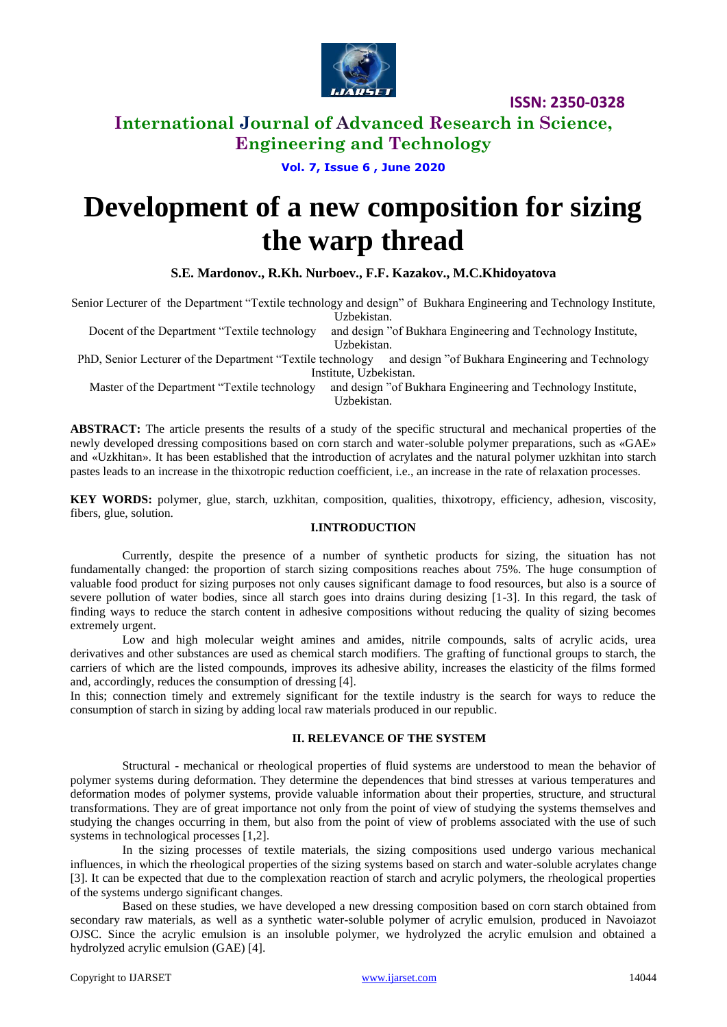

# **International Journal of Advanced Research in Science, Engineering and Technology**

### **Vol. 7, Issue 6 , June 2020**

# **Development of a new composition for sizing the warp thread**

#### **S.E. Mardonov., R.Kh. Nurboev., F.F. Kazakov., M.C.Khidoyatova**

Senior Lecturer of the Department "Textile technology and design" of Bukhara Engineering and Technology Institute,

Uzbekistan.

Docent of the Department "Textile technology and design "of Bukhara Engineering and Technology Institute, Uzbekistan.

PhD, Senior Lecturer of the Department "Textile technology and design "of Bukhara Engineering and Technology Institute, Uzbekistan.

Master of the Department "Textile technology and design "of Bukhara Engineering and Technology Institute, Uzbekistan.

**ABSTRACT:** The article presents the results of a study of the specific structural and mechanical properties of the newly developed dressing compositions based on corn starch and water-soluble polymer preparations, such as «GAE» and «Uzkhitan». It has been established that the introduction of acrylates and the natural polymer uzkhitan into starch pastes leads to an increase in the thixotropic reduction coefficient, i.e., an increase in the rate of relaxation processes.

**KEY WORDS:** polymer, glue, starch, uzkhitan, composition, qualities, thixotropy, efficiency, adhesion, viscosity, fibers, glue, solution.

#### **I.INTRODUCTION**

Currently, despite the presence of a number of synthetic products for sizing, the situation has not fundamentally changed: the proportion of starch sizing compositions reaches about 75%. The huge consumption of valuable food product for sizing purposes not only causes significant damage to food resources, but also is a source of severe pollution of water bodies, since all starch goes into drains during desizing [1-3]. In this regard, the task of finding ways to reduce the starch content in adhesive compositions without reducing the quality of sizing becomes extremely urgent.

Low and high molecular weight amines and amides, nitrile compounds, salts of acrylic acids, urea derivatives and other substances are used as chemical starch modifiers. The grafting of functional groups to starch, the carriers of which are the listed compounds, improves its adhesive ability, increases the elasticity of the films formed and, accordingly, reduces the consumption of dressing [4].

In this; connection timely and extremely significant for the textile industry is the search for ways to reduce the consumption of starch in sizing by adding local raw materials produced in our republic.

#### **II. RELEVANCE OF THE SYSTEM**

Structural - mechanical or rheological properties of fluid systems are understood to mean the behavior of polymer systems during deformation. They determine the dependences that bind stresses at various temperatures and deformation modes of polymer systems, provide valuable information about their properties, structure, and structural transformations. They are of great importance not only from the point of view of studying the systems themselves and studying the changes occurring in them, but also from the point of view of problems associated with the use of such systems in technological processes [1,2].

In the sizing processes of textile materials, the sizing compositions used undergo various mechanical influences, in which the rheological properties of the sizing systems based on starch and water-soluble acrylates change [3]. It can be expected that due to the complexation reaction of starch and acrylic polymers, the rheological properties of the systems undergo significant changes.

Based on these studies, we have developed a new dressing composition based on corn starch obtained from secondary raw materials, as well as a synthetic water-soluble polymer of acrylic emulsion, produced in Navoiazot OJSC. Since the acrylic emulsion is an insoluble polymer, we hydrolyzed the acrylic emulsion and obtained a hydrolyzed acrylic emulsion (GAE) [4].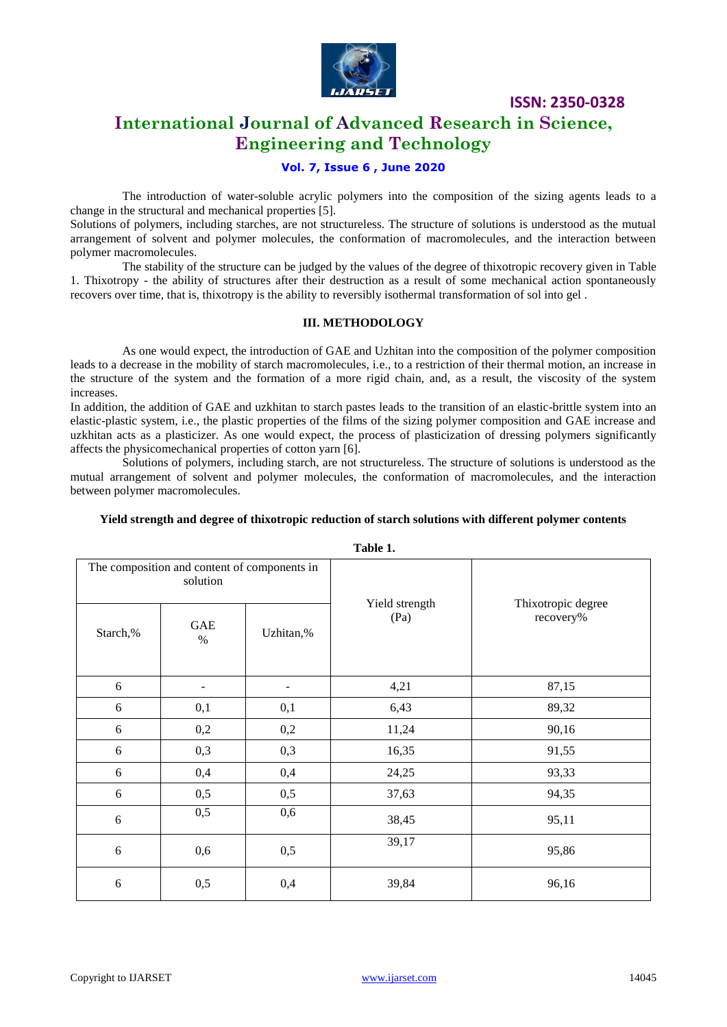

# **International Journal of Advanced Research in Science, Engineering and Technology**

#### **Vol. 7, Issue 6 , June 2020**

The introduction of water-soluble acrylic polymers into the composition of the sizing agents leads to a change in the structural and mechanical properties [5].

Solutions of polymers, including starches, are not structureless. The structure of solutions is understood as the mutual arrangement of solvent and polymer molecules, the conformation of macromolecules, and the interaction between polymer macromolecules.

The stability of the structure can be judged by the values of the degree of thixotropic recovery given in Table 1. Thixotropy - the ability of structures after their destruction as a result of some mechanical action spontaneously recovers over time, that is, thixotropy is the ability to reversibly isothermal transformation of sol into gel .

#### **III. METHODOLOGY**

As one would expect, the introduction of GAE and Uzhitan into the composition of the polymer composition leads to a decrease in the mobility of starch macromolecules, i.e., to a restriction of their thermal motion, an increase in the structure of the system and the formation of a more rigid chain, and, as a result, the viscosity of the system increases.

In addition, the addition of GAE and uzkhitan to starch pastes leads to the transition of an elastic-brittle system into an elastic-plastic system, i.e., the plastic properties of the films of the sizing polymer composition and GAE increase and uzkhitan acts as a plasticizer. As one would expect, the process of plasticization of dressing polymers significantly affects the physicomechanical properties of cotton yarn [6].

Solutions of polymers, including starch, are not structureless. The structure of solutions is understood as the mutual arrangement of solvent and polymer molecules, the conformation of macromolecules, and the interaction between polymer macromolecules.

| Table 1.                                                 |     |                  |                |                    |  |  |  |  |
|----------------------------------------------------------|-----|------------------|----------------|--------------------|--|--|--|--|
| The composition and content of components in<br>solution |     |                  | Yield strength | Thixotropic degree |  |  |  |  |
| $Graph 0/$                                               | GAE | $I$ Jahitan $0/$ | (Pa)           | recovery%          |  |  |  |  |

#### **Yield strength and degree of thixotropic reduction of starch solutions with different polymer contents**

Starch,% % Uzhitan,% 6 | - | - | 4,21 | 87,15 6 | 0,1 | 0,1 | 6,43 | 89,32 6 0,2 0,2 11,24 90,16 6 0,3 0,3 16,35 91,55 6 | 0,4 | 0,4 | 24,25 | 93,33 6 0,5 0,5 37,63 94,35 6  $0,5$   $0,6$   $38,45$  95,11 6 0,6 0,5 39,17 95,86 6 0,5 0,4 39,84 96,16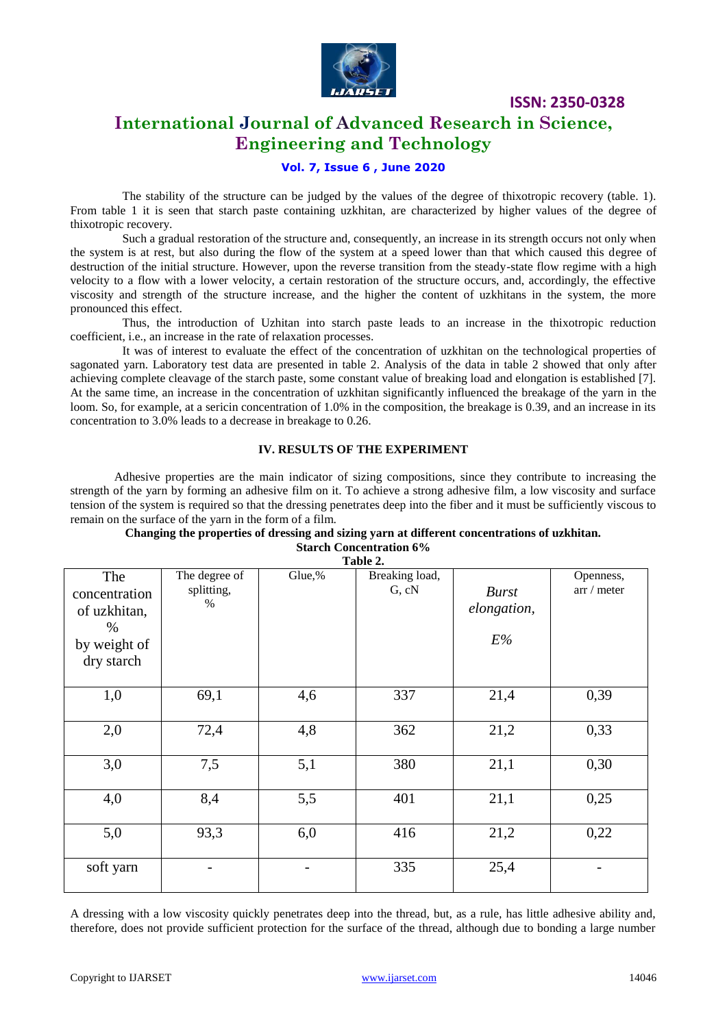

# **International Journal of Advanced Research in Science, Engineering and Technology**

#### **Vol. 7, Issue 6 , June 2020**

The stability of the structure can be judged by the values of the degree of thixotropic recovery (table. 1). From table 1 it is seen that starch paste containing uzkhitan, are characterized by higher values of the degree of thixotropic recovery.

Such a gradual restoration of the structure and, consequently, an increase in its strength occurs not only when the system is at rest, but also during the flow of the system at a speed lower than that which caused this degree of destruction of the initial structure. However, upon the reverse transition from the steady-state flow regime with a high velocity to a flow with a lower velocity, a certain restoration of the structure occurs, and, accordingly, the effective viscosity and strength of the structure increase, and the higher the content of uzkhitans in the system, the more pronounced this effect.

Thus, the introduction of Uzhitan into starch paste leads to an increase in the thixotropic reduction coefficient, i.e., an increase in the rate of relaxation processes.

It was of interest to evaluate the effect of the concentration of uzkhitan on the technological properties of sagonated yarn. Laboratory test data are presented in table 2. Analysis of the data in table 2 showed that only after achieving complete cleavage of the starch paste, some constant value of breaking load and elongation is established [7]. At the same time, an increase in the concentration of uzkhitan significantly influenced the breakage of the yarn in the loom. So, for example, at a sericin concentration of 1.0% in the composition, the breakage is 0.39, and an increase in its concentration to 3.0% leads to a decrease in breakage to 0.26.

#### **IV. RESULTS OF THE EXPERIMENT**

Adhesive properties are the main indicator of sizing compositions, since they contribute to increasing the strength of the yarn by forming an adhesive film on it. To achieve a strong adhesive film, a low viscosity and surface tension of the system is required so that the dressing penetrates deep into the fiber and it must be sufficiently viscous to remain on the surface of the yarn in the form of a film.

#### **Changing the properties of dressing and sizing yarn at different concentrations of uzkhitan. Starch Concentration 6%**

**Table 2.**

| Tabit 4.      |               |        |                |              |             |  |  |  |  |
|---------------|---------------|--------|----------------|--------------|-------------|--|--|--|--|
| The           | The degree of | Glue,% | Breaking load, |              | Openness,   |  |  |  |  |
| concentration | splitting,    |        | G, cN          | <b>Burst</b> | arr / meter |  |  |  |  |
|               | $\%$          |        |                | elongation,  |             |  |  |  |  |
| of uzkhitan,  |               |        |                |              |             |  |  |  |  |
| $\%$          |               |        |                |              |             |  |  |  |  |
| by weight of  |               |        |                | E%           |             |  |  |  |  |
| dry starch    |               |        |                |              |             |  |  |  |  |
|               |               |        |                |              |             |  |  |  |  |
| 1,0           | 69,1          | 4,6    | 337            | 21,4         | 0,39        |  |  |  |  |
|               |               |        |                |              |             |  |  |  |  |
| 2,0           | 72,4          | 4,8    | 362            | 21,2         | 0,33        |  |  |  |  |
|               |               |        |                |              |             |  |  |  |  |
| 3,0           | 7,5           | 5,1    | 380            | 21,1         | 0,30        |  |  |  |  |
|               |               |        |                |              |             |  |  |  |  |
| 4,0           | 8,4           | 5,5    | 401            | 21,1         | 0,25        |  |  |  |  |
|               |               |        |                |              |             |  |  |  |  |
| 5,0           | 93,3          | 6,0    | 416            | 21,2         | 0,22        |  |  |  |  |
|               |               |        |                |              |             |  |  |  |  |
| soft yarn     |               |        | 335            | 25,4         |             |  |  |  |  |
|               |               |        |                |              |             |  |  |  |  |

A dressing with a low viscosity quickly penetrates deep into the thread, but, as a rule, has little adhesive ability and, therefore, does not provide sufficient protection for the surface of the thread, although due to bonding a large number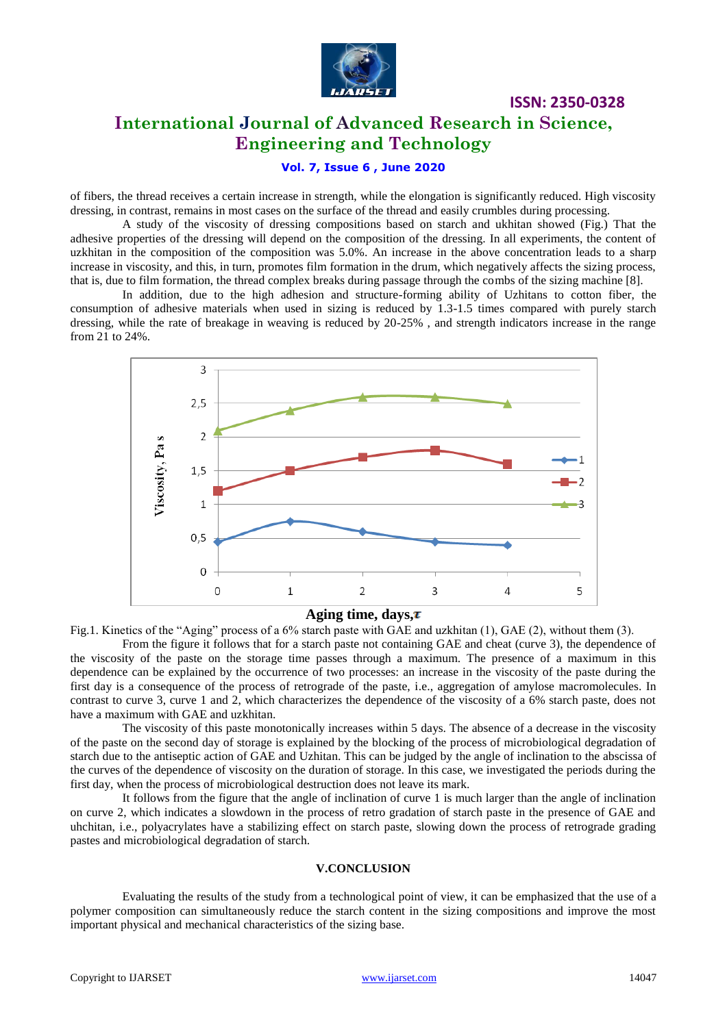

# **International Journal of Advanced Research in Science, Engineering and Technology**

**ISSN: 2350-0328**

#### **Vol. 7, Issue 6 , June 2020**

of fibers, the thread receives a certain increase in strength, while the elongation is significantly reduced. High viscosity dressing, in contrast, remains in most cases on the surface of the thread and easily crumbles during processing.

A study of the viscosity of dressing compositions based on starch and ukhitan showed (Fig.) That the adhesive properties of the dressing will depend on the composition of the dressing. In all experiments, the content of uzkhitan in the composition of the composition was 5.0%. An increase in the above concentration leads to a sharp increase in viscosity, and this, in turn, promotes film formation in the drum, which negatively affects the sizing process, that is, due to film formation, the thread complex breaks during passage through the combs of the sizing machine [8].

In addition, due to the high adhesion and structure-forming ability of Uzhitans to cotton fiber, the consumption of adhesive materials when used in sizing is reduced by 1.3-1.5 times compared with purely starch dressing, while the rate of breakage in weaving is reduced by 20-25% , and strength indicators increase in the range from 21 to 24%.



#### **Aging time, days,**

Fig.1. Kinetics of the "Aging" process of a 6% starch paste with GAE and uzkhitan (1), GAE (2), without them (3).

From the figure it follows that for a starch paste not containing GAE and cheat (curve 3), the dependence of the viscosity of the paste on the storage time passes through a maximum. The presence of a maximum in this dependence can be explained by the occurrence of two processes: an increase in the viscosity of the paste during the first day is a consequence of the process of retrograde of the paste, i.e., aggregation of amylose macromolecules. In contrast to curve 3, curve 1 and 2, which characterizes the dependence of the viscosity of a 6% starch paste, does not have a maximum with GAE and uzkhitan.

The viscosity of this paste monotonically increases within 5 days. The absence of a decrease in the viscosity of the paste on the second day of storage is explained by the blocking of the process of microbiological degradation of starch due to the antiseptic action of GAE and Uzhitan. This can be judged by the angle of inclination to the abscissa of the curves of the dependence of viscosity on the duration of storage. In this case, we investigated the periods during the first day, when the process of microbiological destruction does not leave its mark.

It follows from the figure that the angle of inclination of curve 1 is much larger than the angle of inclination on curve 2, which indicates a slowdown in the process of retro gradation of starch paste in the presence of GAE and uhchitan, i.e., polyacrylates have a stabilizing effect on starch paste, slowing down the process of retrograde grading pastes and microbiological degradation of starch.

#### **V.CONCLUSION**

Evaluating the results of the study from a technological point of view, it can be emphasized that the use of a polymer composition can simultaneously reduce the starch content in the sizing compositions and improve the most important physical and mechanical characteristics of the sizing base.